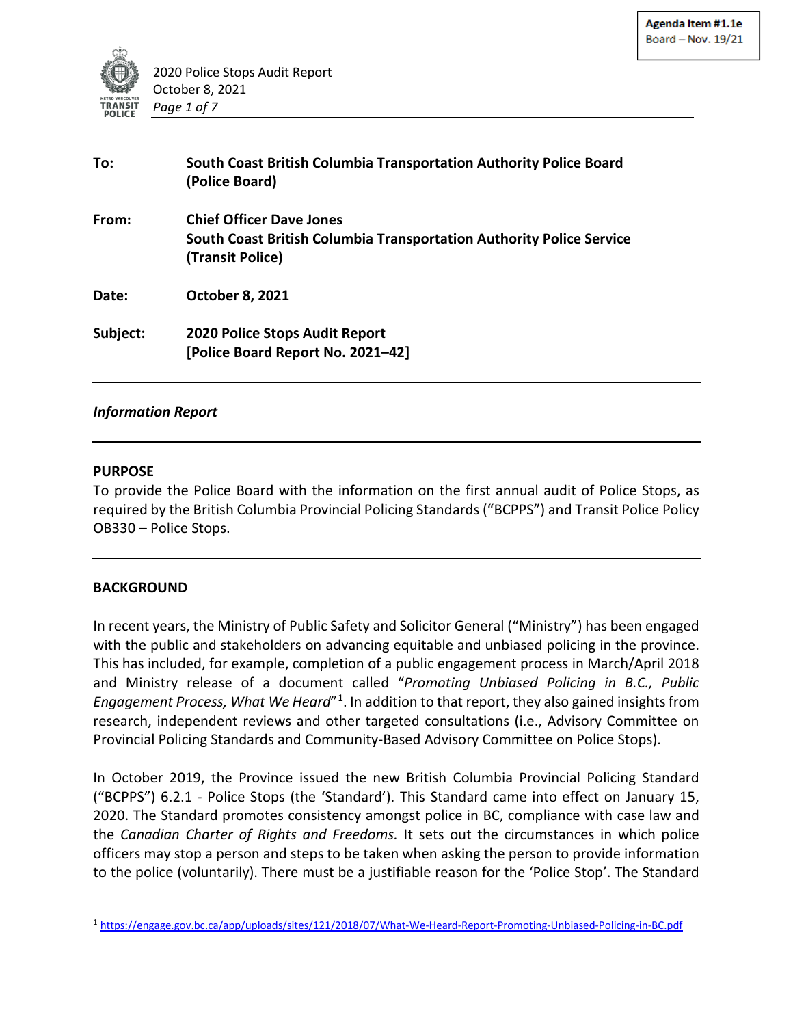

| To:      | South Coast British Columbia Transportation Authority Police Board<br>(Police Board)                                        |  |
|----------|-----------------------------------------------------------------------------------------------------------------------------|--|
| From:    | <b>Chief Officer Dave Jones</b><br>South Coast British Columbia Transportation Authority Police Service<br>(Transit Police) |  |
| Date:    | <b>October 8, 2021</b>                                                                                                      |  |
| Subject: | <b>2020 Police Stops Audit Report</b><br>[Police Board Report No. 2021-42]                                                  |  |

#### *Information Report*

#### **PURPOSE**

To provide the Police Board with the information on the first annual audit of Police Stops, as required by the British Columbia Provincial Policing Standards ("BCPPS") and Transit Police Policy OB330 – Police Stops.

#### **BACKGROUND**

In recent years, the Ministry of Public Safety and Solicitor General ("Ministry") has been engaged with the public and stakeholders on advancing equitable and unbiased policing in the province. This has included, for example, completion of a public engagement process in March/April 2018 and Ministry release of a document called "*Promoting Unbiased Policing in B.C., Public Engagement Process, What We Heard*"[1](#page-0-0). In addition to that report, they also gained insights from research, independent reviews and other targeted consultations (i.e., Advisory Committee on Provincial Policing Standards and Community-Based Advisory Committee on Police Stops).

In October 2019, the Province issued the new British Columbia Provincial Policing Standard ("BCPPS") 6.2.1 - Police Stops (the 'Standard'). This Standard came into effect on January 15, 2020. The Standard promotes consistency amongst police in BC, compliance with case law and the *Canadian Charter of Rights and Freedoms.* It sets out the circumstances in which police officers may stop a person and steps to be taken when asking the person to provide information to the police (voluntarily). There must be a justifiable reason for the 'Police Stop'. The Standard

<span id="page-0-0"></span><sup>1</sup> https://engage.gov.bc.ca/app/uploads/sites/121/2018/07/What-We-Heard-Report-Promoting-Unbiased-Policing-in-BC.pdf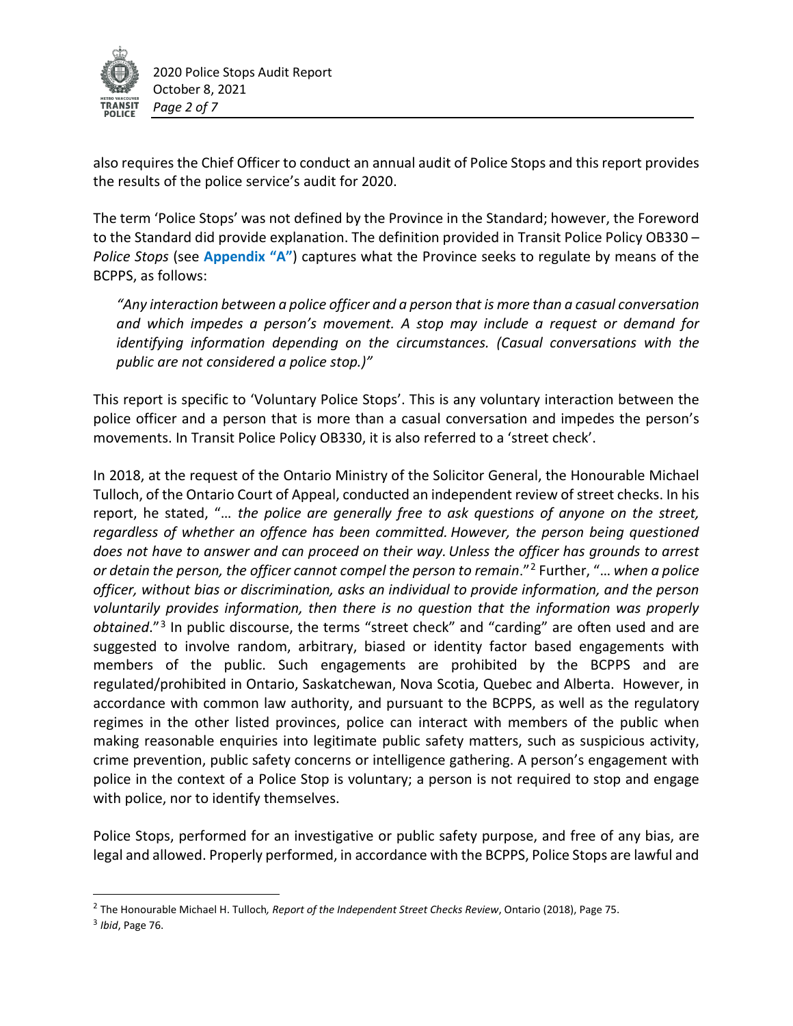

2020 Police Stops Audit Report October 8, 2021 *Page 2 of 7*

also requires the Chief Officer to conduct an annual audit of Police Stops and this report provides the results of the police service's audit for 2020.

The term 'Police Stops' was not defined by the Province in the Standard; however, the Foreword to the Standard did provide explanation. The definition provided in Transit Police Policy OB330 – *Police Stops* (see **Appendix "A"**) captures what the Province seeks to regulate by means of the BCPPS, as follows:

*"Any interaction between a police officer and a person that is more than a casual conversation and which impedes a person's movement. A stop may include a request or demand for identifying information depending on the circumstances. (Casual conversations with the public are not considered a police stop.)"*

This report is specific to 'Voluntary Police Stops'. This is any voluntary interaction between the police officer and a person that is more than a casual conversation and impedes the person's movements. In Transit Police Policy OB330, it is also referred to a 'street check'.

In 2018, at the request of the Ontario Ministry of the Solicitor General, the Honourable Michael Tulloch, of the Ontario Court of Appeal, conducted an independent review of street checks. In his report, he stated, "… *the police are generally free to ask questions of anyone on the street, regardless of whether an offence has been committed. However, the person being questioned does not have to answer and can proceed on their way.Unless the officer has grounds to arrest or detain the person, the officer cannot compel the person to remain*."[2](#page-1-0) Further, "… *when a police officer, without bias or discrimination, asks an individual to provide information, and the person voluntarily provides information, then there is no question that the information was properly obtained*."[3](#page-1-1) In public discourse, the terms "street check" and "carding" are often used and are suggested to involve random, arbitrary, biased or identity factor based engagements with members of the public. Such engagements are prohibited by the BCPPS and are regulated/prohibited in Ontario, Saskatchewan, Nova Scotia, Quebec and Alberta. However, in accordance with common law authority, and pursuant to the BCPPS, as well as the regulatory regimes in the other listed provinces, police can interact with members of the public when making reasonable enquiries into legitimate public safety matters, such as suspicious activity, crime prevention, public safety concerns or intelligence gathering. A person's engagement with police in the context of a Police Stop is voluntary; a person is not required to stop and engage with police, nor to identify themselves.

Police Stops, performed for an investigative or public safety purpose, and free of any bias, are legal and allowed. Properly performed, in accordance with the BCPPS, Police Stops are lawful and

<span id="page-1-0"></span> <sup>2</sup> The Honourable Michael H. Tulloch*, Report of the Independent Street Checks Review*, Ontario (2018), Page 75.

<span id="page-1-1"></span><sup>3</sup> *Ibid*, Page 76.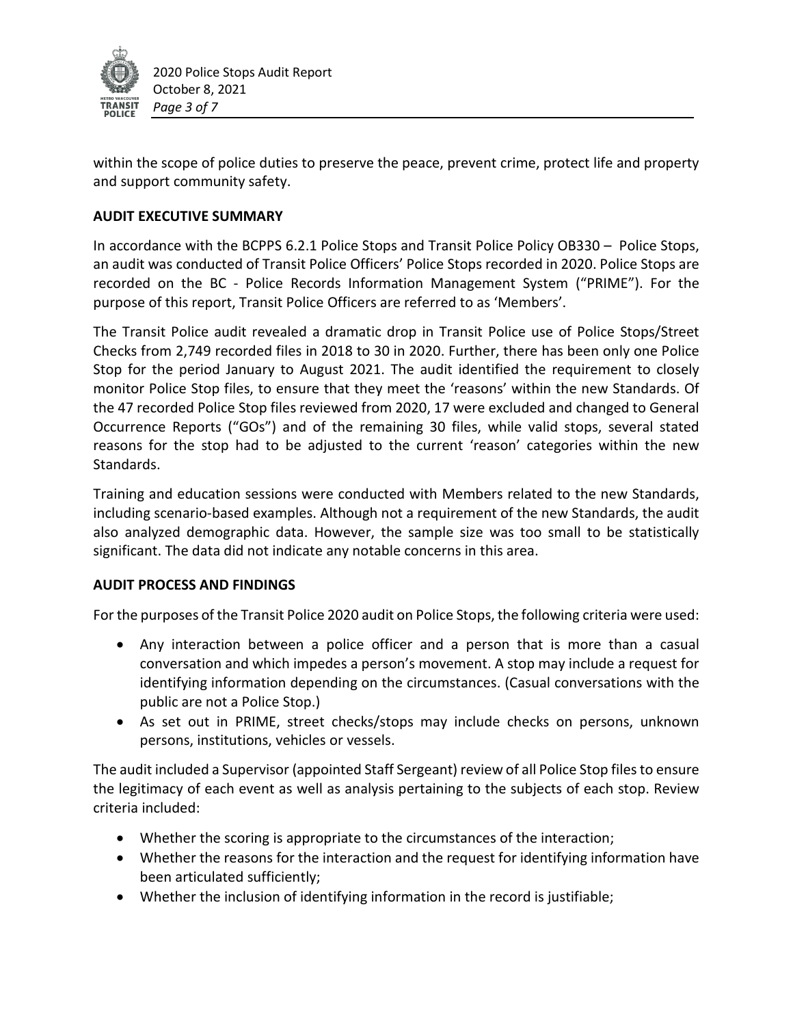

within the scope of police duties to preserve the peace, prevent crime, protect life and property and support community safety.

# **AUDIT EXECUTIVE SUMMARY**

In accordance with the BCPPS 6.2.1 Police Stops and Transit Police Policy OB330 – Police Stops, an audit was conducted of Transit Police Officers' Police Stops recorded in 2020. Police Stops are recorded on the BC - Police Records Information Management System ("PRIME"). For the purpose of this report, Transit Police Officers are referred to as 'Members'.

The Transit Police audit revealed a dramatic drop in Transit Police use of Police Stops/Street Checks from 2,749 recorded files in 2018 to 30 in 2020. Further, there has been only one Police Stop for the period January to August 2021. The audit identified the requirement to closely monitor Police Stop files, to ensure that they meet the 'reasons' within the new Standards. Of the 47 recorded Police Stop files reviewed from 2020, 17 were excluded and changed to General Occurrence Reports ("GOs") and of the remaining 30 files, while valid stops, several stated reasons for the stop had to be adjusted to the current 'reason' categories within the new Standards.

Training and education sessions were conducted with Members related to the new Standards, including scenario-based examples. Although not a requirement of the new Standards, the audit also analyzed demographic data. However, the sample size was too small to be statistically significant. The data did not indicate any notable concerns in this area.

## **AUDIT PROCESS AND FINDINGS**

For the purposes of the Transit Police 2020 audit on Police Stops, the following criteria were used:

- Any interaction between a police officer and a person that is more than a casual conversation and which impedes a person's movement. A stop may include a request for identifying information depending on the circumstances. (Casual conversations with the public are not a Police Stop.)
- As set out in PRIME, street checks/stops may include checks on persons, unknown persons, institutions, vehicles or vessels.

The audit included a Supervisor (appointed Staff Sergeant) review of all Police Stop files to ensure the legitimacy of each event as well as analysis pertaining to the subjects of each stop. Review criteria included:

- Whether the scoring is appropriate to the circumstances of the interaction;
- Whether the reasons for the interaction and the request for identifying information have been articulated sufficiently;
- Whether the inclusion of identifying information in the record is justifiable;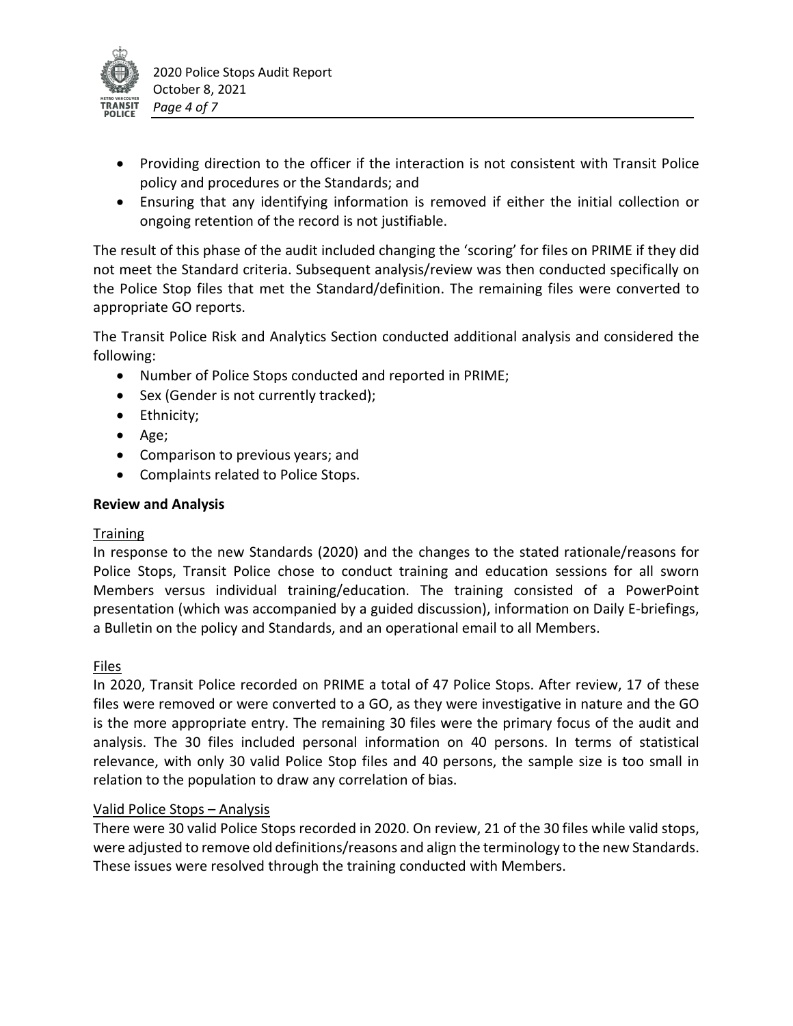

- Providing direction to the officer if the interaction is not consistent with Transit Police policy and procedures or the Standards; and
- Ensuring that any identifying information is removed if either the initial collection or ongoing retention of the record is not justifiable.

The result of this phase of the audit included changing the 'scoring' for files on PRIME if they did not meet the Standard criteria. Subsequent analysis/review was then conducted specifically on the Police Stop files that met the Standard/definition. The remaining files were converted to appropriate GO reports.

The Transit Police Risk and Analytics Section conducted additional analysis and considered the following:

- Number of Police Stops conducted and reported in PRIME;
- Sex (Gender is not currently tracked);
- Ethnicity;
- Age;
- Comparison to previous years; and
- Complaints related to Police Stops.

## **Review and Analysis**

# **Training**

In response to the new Standards (2020) and the changes to the stated rationale/reasons for Police Stops, Transit Police chose to conduct training and education sessions for all sworn Members versus individual training/education. The training consisted of a PowerPoint presentation (which was accompanied by a guided discussion), information on Daily E-briefings, a Bulletin on the policy and Standards, and an operational email to all Members.

# Files

In 2020, Transit Police recorded on PRIME a total of 47 Police Stops. After review, 17 of these files were removed or were converted to a GO, as they were investigative in nature and the GO is the more appropriate entry. The remaining 30 files were the primary focus of the audit and analysis. The 30 files included personal information on 40 persons. In terms of statistical relevance, with only 30 valid Police Stop files and 40 persons, the sample size is too small in relation to the population to draw any correlation of bias.

# Valid Police Stops – Analysis

There were 30 valid Police Stops recorded in 2020. On review, 21 of the 30 files while valid stops, were adjusted to remove old definitions/reasons and align the terminology to the new Standards. These issues were resolved through the training conducted with Members.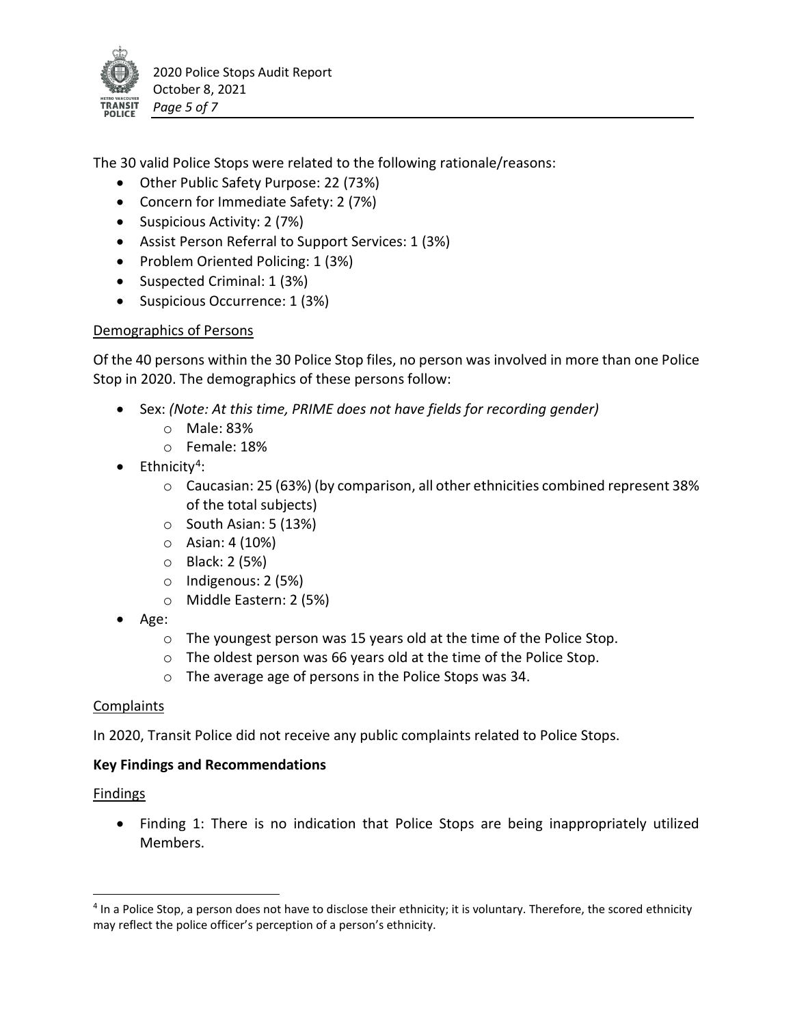

The 30 valid Police Stops were related to the following rationale/reasons:

- Other Public Safety Purpose: 22 (73%)
- Concern for Immediate Safety: 2 (7%)
- Suspicious Activity: 2 (7%)
- Assist Person Referral to Support Services: 1 (3%)
- Problem Oriented Policing: 1 (3%)
- Suspected Criminal: 1 (3%)
- Suspicious Occurrence: 1 (3%)

## Demographics of Persons

Of the 40 persons within the 30 Police Stop files, no person was involved in more than one Police Stop in 2020. The demographics of these persons follow:

- Sex: *(Note: At this time, PRIME does not have fields for recording gender)*
	- o Male: 83%
	- o Female: 18%
- $\bullet$  Ethnicity<sup>[4](#page-4-0)</sup>:
	- $\circ$  Caucasian: 25 (63%) (by comparison, all other ethnicities combined represent 38% of the total subjects)
	- $\circ$  South Asian: 5 (13%)
	- o Asian: 4 (10%)
	- o Black: 2 (5%)
	- o Indigenous: 2 (5%)
	- o Middle Eastern: 2 (5%)
- Age:
	- o The youngest person was 15 years old at the time of the Police Stop.
	- o The oldest person was 66 years old at the time of the Police Stop.
	- o The average age of persons in the Police Stops was 34.

## Complaints

In 2020, Transit Police did not receive any public complaints related to Police Stops.

## **Key Findings and Recommendations**

## **Findings**

• Finding 1: There is no indication that Police Stops are being inappropriately utilized Members.

<span id="page-4-0"></span> <sup>4</sup> In a Police Stop, a person does not have to disclose their ethnicity; it is voluntary. Therefore, the scored ethnicity may reflect the police officer's perception of a person's ethnicity.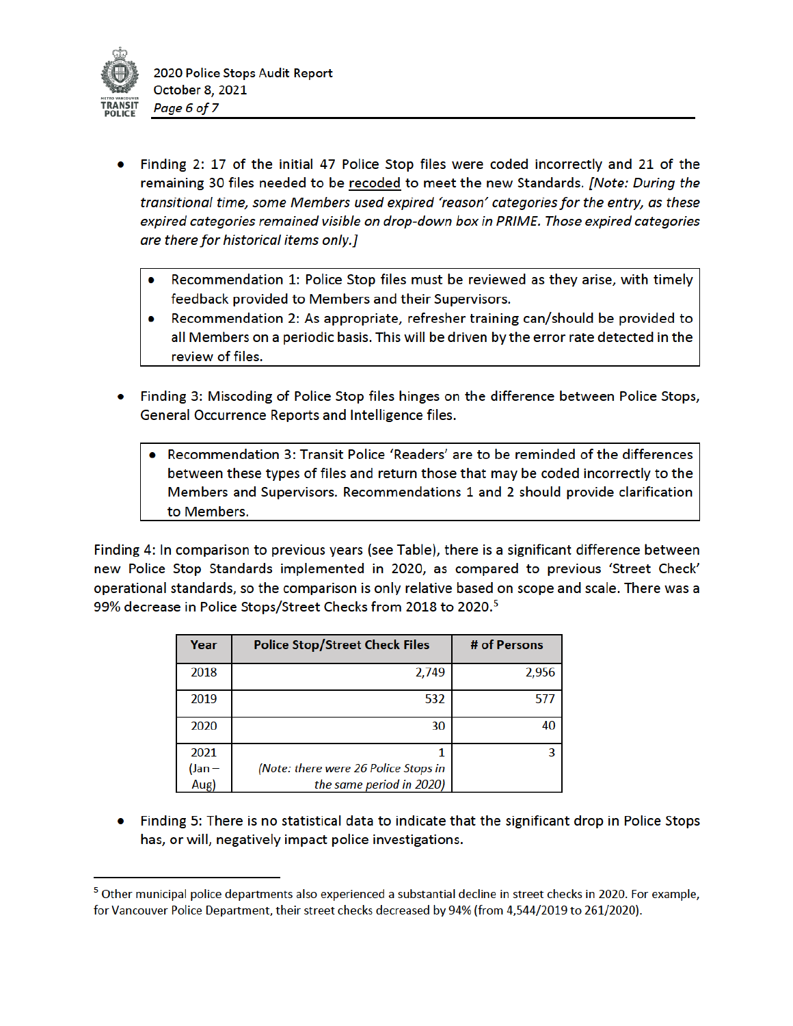

- Finding 2: 17 of the initial 47 Police Stop files were coded incorrectly and 21 of the remaining 30 files needed to be recoded to meet the new Standards. [Note: During the transitional time, some Members used expired 'reason' categories for the entry, as these expired categories remained visible on drop-down box in PRIME. Those expired categories are there for historical items only.]
	- Recommendation 1: Police Stop files must be reviewed as they arise, with timely feedback provided to Members and their Supervisors.
	- Recommendation 2: As appropriate, refresher training can/should be provided to all Members on a periodic basis. This will be driven by the error rate detected in the review of files.
- Finding 3: Miscoding of Police Stop files hinges on the difference between Police Stops, General Occurrence Reports and Intelligence files.
	- Recommendation 3: Transit Police 'Readers' are to be reminded of the differences between these types of files and return those that may be coded incorrectly to the Members and Supervisors. Recommendations 1 and 2 should provide clarification to Members.

Finding 4: In comparison to previous years (see Table), there is a significant difference between new Police Stop Standards implemented in 2020, as compared to previous 'Street Check' operational standards, so the comparison is only relative based on scope and scale. There was a 99% decrease in Police Stops/Street Checks from 2018 to 2020.<sup>5</sup>

| Year        | <b>Police Stop/Street Check Files</b> | # of Persons |
|-------------|---------------------------------------|--------------|
| 2018        | 2,749                                 | 2,956        |
| 2019        | 532                                   | 577          |
| 2020        | 30                                    | 40           |
| 2021        |                                       | ર            |
| $($ Jan $-$ | (Note: there were 26 Police Stops in  |              |
| Aug)        | the same period in 2020)              |              |

• Finding 5: There is no statistical data to indicate that the significant drop in Police Stops has, or will, negatively impact police investigations.

<sup>&</sup>lt;sup>5</sup> Other municipal police departments also experienced a substantial decline in street checks in 2020. For example, for Vancouver Police Department, their street checks decreased by 94% (from 4,544/2019 to 261/2020).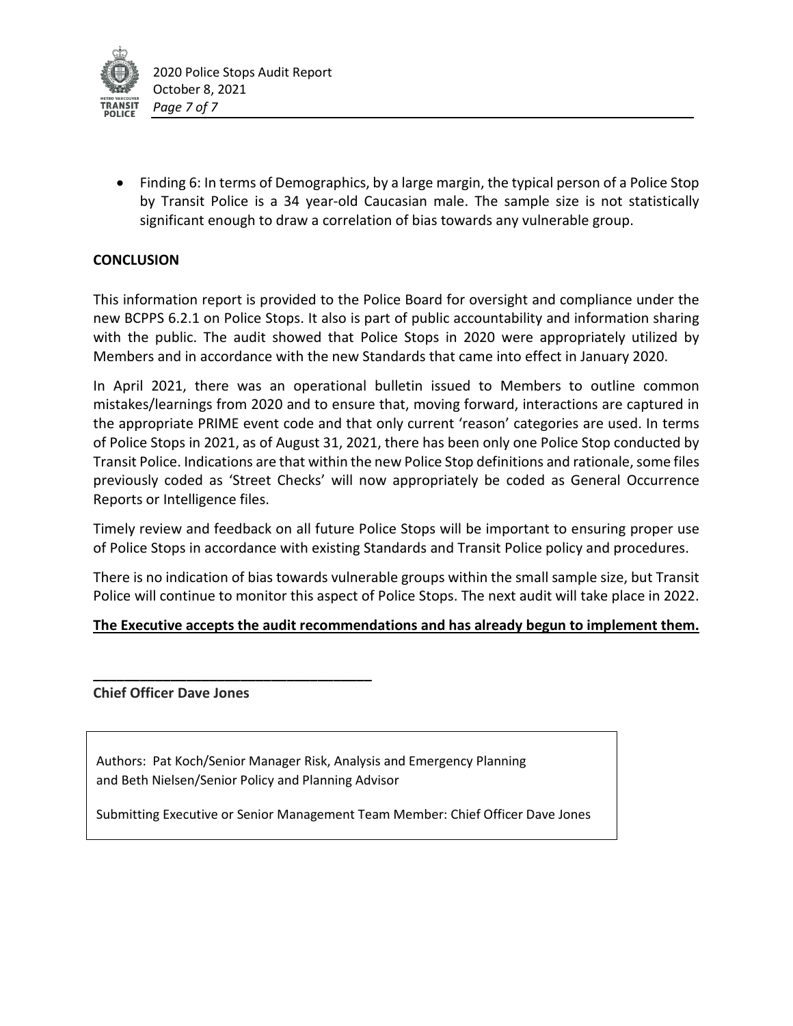

• Finding 6: In terms of Demographics, by a large margin, the typical person of a Police Stop by Transit Police is a 34 year-old Caucasian male. The sample size is not statistically significant enough to draw a correlation of bias towards any vulnerable group.

# **CONCLUSION**

This information report is provided to the Police Board for oversight and compliance under the new BCPPS 6.2.1 on Police Stops. It also is part of public accountability and information sharing with the public. The audit showed that Police Stops in 2020 were appropriately utilized by Members and in accordance with the new Standards that came into effect in January 2020.

In April 2021, there was an operational bulletin issued to Members to outline common mistakes/learnings from 2020 and to ensure that, moving forward, interactions are captured in the appropriate PRIME event code and that only current 'reason' categories are used. In terms of Police Stops in 2021, as of August 31, 2021, there has been only one Police Stop conducted by Transit Police. Indications are that within the new Police Stop definitions and rationale, some files previously coded as 'Street Checks' will now appropriately be coded as General Occurrence Reports or Intelligence files.

Timely review and feedback on all future Police Stops will be important to ensuring proper use of Police Stops in accordance with existing Standards and Transit Police policy and procedures.

There is no indication of bias towards vulnerable groups within the small sample size, but Transit Police will continue to monitor this aspect of Police Stops. The next audit will take place in 2022.

## **The Executive accepts the audit recommendations and has already begun to implement them.**

**Chief Officer Dave Jones**

**\_\_\_\_\_\_\_\_\_\_\_\_\_\_\_\_\_\_\_\_\_\_\_\_\_\_\_\_\_\_\_\_\_\_\_\_**

Authors: Pat Koch/Senior Manager Risk, Analysis and Emergency Planning and Beth Nielsen/Senior Policy and Planning Advisor

Submitting Executive or Senior Management Team Member: Chief Officer Dave Jones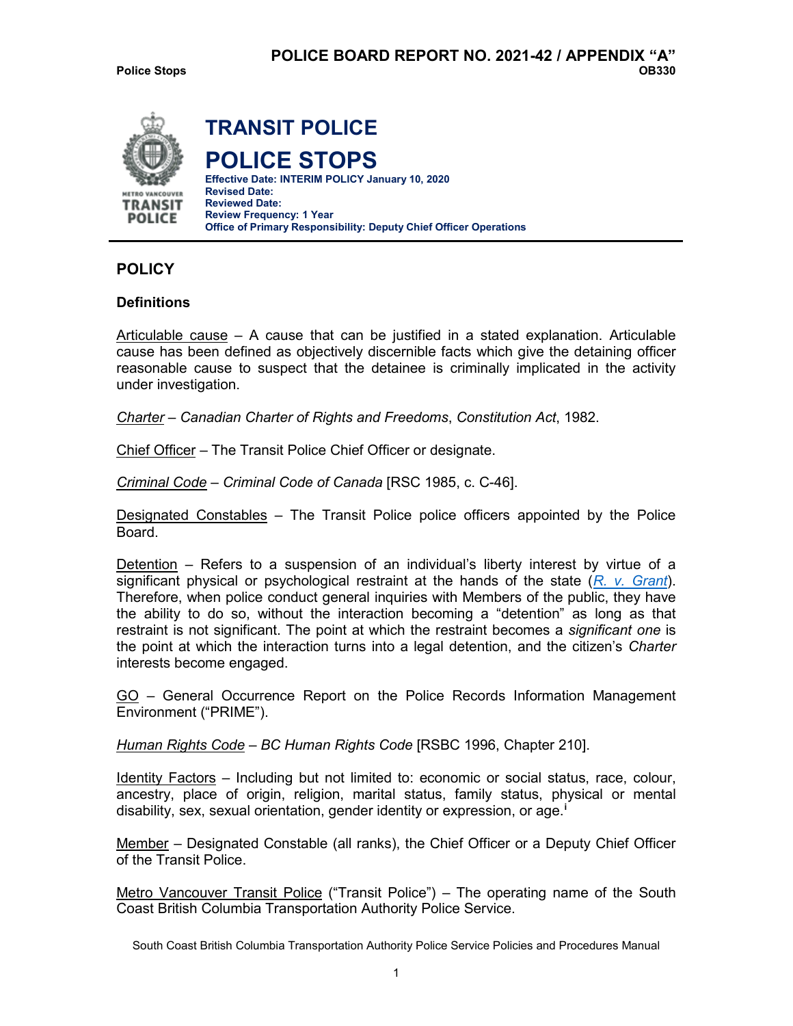

# **POLICY**

#### **Definitions**

Articulable cause – A cause that can be justified in a stated explanation. Articulable cause has been defined as objectively discernible facts which give the detaining officer reasonable cause to suspect that the detainee is criminally implicated in the activity under investigation.

*Charter* – *Canadian Charter of Rights and Freedoms*, *Constitution Act*, 1982.

Chief Officer – The Transit Police Chief Officer or designate.

*Criminal Code* – *Criminal Code of Canada* [RSC 1985, c. C-46].

Designated Constables – The Transit Police police officers appointed by the Police Board.

Detention – Refers to a suspension of an individual's liberty interest by virtue of a significant physical or psychological restraint at the hands of the state (*[R. v. Grant](http://owl01/otcs/cs.exe?func=ll&objId=1934927&objAction=download&viewType=1)*). Therefore, when police conduct general inquiries with Members of the public, they have the ability to do so, without the interaction becoming a "detention" as long as that restraint is not significant. The point at which the restraint becomes a *significant one* is the point at which the interaction turns into a legal detention, and the citizen's *Charter*  interests become engaged.

GO – General Occurrence Report on the Police Records Information Management Environment ("PRIME").

*Human Rights Code – BC Human Rights Code* [RSBC 1996, Chapter 210].

Identity Factors – Including but not limited to: economic or social status, race, colour, ancestry, place of origin, religion, marital status, family status, physical or mental disability, sex, sexual orientation, gender identity or expression, or age.**[i](#page-12-0)**

Member – Designated Constable (all ranks), the Chief Officer or a Deputy Chief Officer of the Transit Police.

Metro Vancouver Transit Police ("Transit Police") – The operating name of the South Coast British Columbia Transportation Authority Police Service.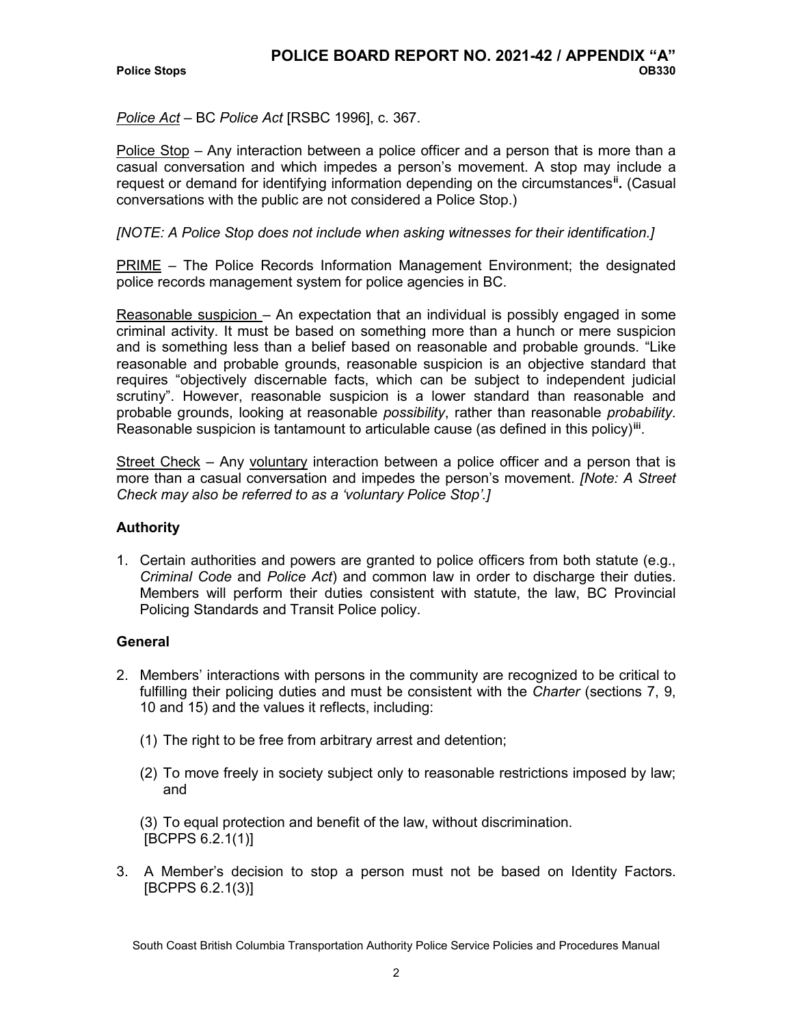*Police Act* – BC *Police Act* [RSBC 1996], c. 367.

Police Stop – Any interaction between a police officer and a person that is more than a casual conversation and which impedes a person's movement. A stop may include a request or demand for identifying information depending on the circumstances**[ii](#page-12-1) .** (Casual conversations with the public are not considered a Police Stop.)

#### *[NOTE: A Police Stop does not include when asking witnesses for their identification.]*

PRIME – The Police Records Information Management Environment; the designated police records management system for police agencies in BC.

Reasonable suspicion – An expectation that an individual is possibly engaged in some criminal activity. It must be based on something more than a hunch or mere suspicion and is something less than a belief based on reasonable and probable grounds. "Like reasonable and probable grounds, reasonable suspicion is an objective standard that requires "objectively discernable facts, which can be subject to independent judicial scrutiny". However, reasonable suspicion is a lower standard than reasonable and probable grounds, looking at reasonable *possibility*, rather than reasonable *probability*. Reasonable suspicion is tantamount to articulable cause (as defined in this policy)**[iii](#page-12-2)**.

Street Check – Any voluntary interaction between a police officer and a person that is more than a casual conversation and impedes the person's movement. *[Note: A Street Check may also be referred to as a 'voluntary Police Stop'.]*

## **Authority**

1. Certain authorities and powers are granted to police officers from both statute (e.g., *Criminal Code* and *Police Act*) and common law in order to discharge their duties. Members will perform their duties consistent with statute, the law, BC Provincial Policing Standards and Transit Police policy.

## **General**

- 2. Members' interactions with persons in the community are recognized to be critical to fulfilling their policing duties and must be consistent with the *Charter* (sections 7, 9, 10 and 15) and the values it reflects, including:
	- (1) The right to be free from arbitrary arrest and detention;
	- (2) To move freely in society subject only to reasonable restrictions imposed by law; and

(3) To equal protection and benefit of the law, without discrimination. [BCPPS 6.2.1(1)]

3. A Member's decision to stop a person must not be based on Identity Factors. [BCPPS 6.2.1(3)]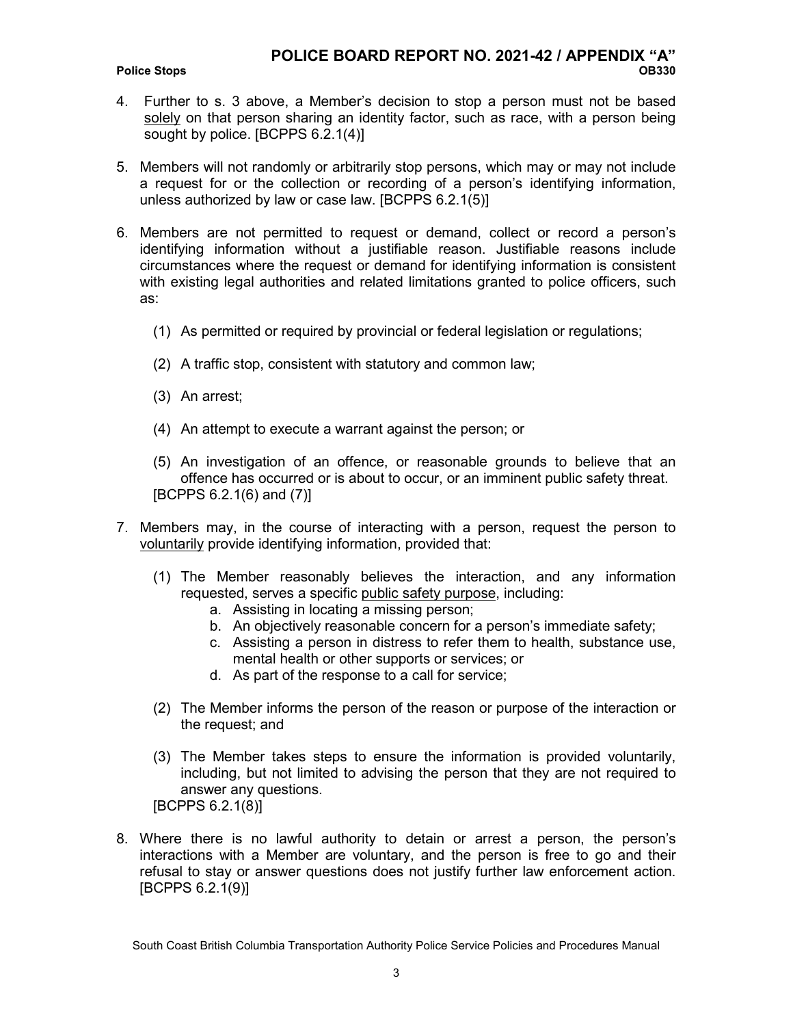#### **Police Stops**

- 4. Further to s. 3 above, a Member's decision to stop a person must not be based solely on that person sharing an identity factor, such as race, with a person being sought by police. [BCPPS 6.2.1(4)]
- 5. Members will not randomly or arbitrarily stop persons, which may or may not include a request for or the collection or recording of a person's identifying information, unless authorized by law or case law. [BCPPS 6.2.1(5)]
- 6. Members are not permitted to request or demand, collect or record a person's identifying information without a justifiable reason. Justifiable reasons include circumstances where the request or demand for identifying information is consistent with existing legal authorities and related limitations granted to police officers, such as:
	- (1) As permitted or required by provincial or federal legislation or regulations;
	- (2) A traffic stop, consistent with statutory and common law;
	- (3) An arrest;
	- (4) An attempt to execute a warrant against the person; or
	- (5) An investigation of an offence, or reasonable grounds to believe that an offence has occurred or is about to occur, or an imminent public safety threat. [BCPPS 6.2.1(6) and (7)]
- 7. Members may, in the course of interacting with a person, request the person to voluntarily provide identifying information, provided that:
	- (1) The Member reasonably believes the interaction, and any information requested, serves a specific public safety purpose, including:
		- a. Assisting in locating a missing person;
		- b. An objectively reasonable concern for a person's immediate safety;
		- c. Assisting a person in distress to refer them to health, substance use, mental health or other supports or services; or
		- d. As part of the response to a call for service;
	- (2) The Member informs the person of the reason or purpose of the interaction or the request; and
	- (3) The Member takes steps to ensure the information is provided voluntarily, including, but not limited to advising the person that they are not required to answer any questions.
	- [BCPPS 6.2.1(8)]
- 8. Where there is no lawful authority to detain or arrest a person, the person's interactions with a Member are voluntary, and the person is free to go and their refusal to stay or answer questions does not justify further law enforcement action. [BCPPS 6.2.1(9)]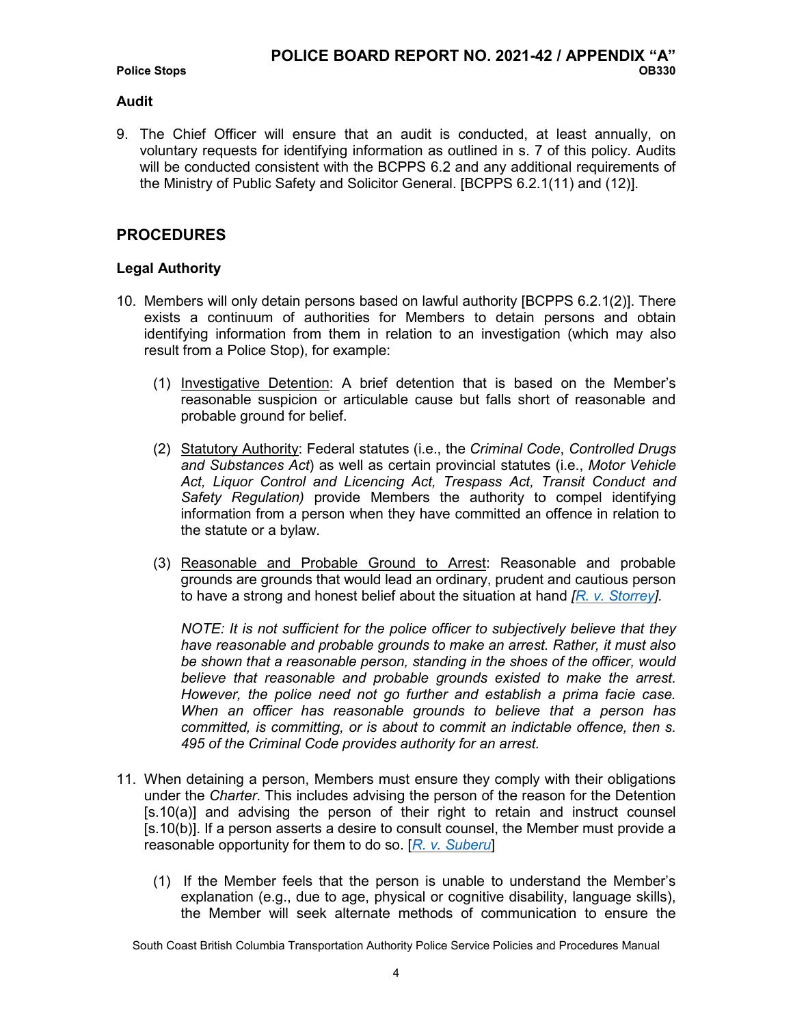#### **Audit**

9. The Chief Officer will ensure that an audit is conducted, at least annually, on voluntary requests for identifying information as outlined in s. 7 of this policy. Audits will be conducted consistent with the BCPPS 6.2 and any additional requirements of the Ministry of Public Safety and Solicitor General. [BCPPS 6.2.1(11) and (12)].

# **PROCEDURES**

## **Legal Authority**

- 10. Members will only detain persons based on lawful authority [BCPPS 6.2.1(2)]. There exists a continuum of authorities for Members to detain persons and obtain identifying information from them in relation to an investigation (which may also result from a Police Stop), for example:
	- (1) Investigative Detention: A brief detention that is based on the Member's reasonable suspicion or articulable cause but falls short of reasonable and probable ground for belief.
	- (2) Statutory Authority: Federal statutes (i.e., the *Criminal Code*, *Controlled Drugs and Substances Act*) as well as certain provincial statutes (i.e., *Motor Vehicle Act, Liquor Control and Licencing Act, Trespass Act, Transit Conduct and Safety Regulation)* provide Members the authority to compel identifying information from a person when they have committed an offence in relation to the statute or a bylaw.
	- (3) Reasonable and Probable Ground to Arrest: Reasonable and probable grounds are grounds that would lead an ordinary, prudent and cautious person to have a strong and honest belief about the situation at hand *[\[R. v. Storrey\]](http://owl01/otcs/cs.exe?func=ll&objId=1078601&objAction=download&viewType=1).*

*NOTE: It is not sufficient for the police officer to subjectively believe that they have reasonable and probable grounds to make an arrest. Rather, it must also be shown that a reasonable person, standing in the shoes of the officer, would believe that reasonable and probable grounds existed to make the arrest. However, the police need not go further and establish a prima facie case. When an officer has reasonable grounds to believe that a person has committed, is committing, or is about to commit an indictable offence, then s. 495 of the Criminal Code provides authority for an arrest.*

- 11. When detaining a person, Members must ensure they comply with their obligations under the *Charter*. This includes advising the person of the reason for the Detention [s.10(a)] and advising the person of their right to retain and instruct counsel [s.10(b)]. If a person asserts a desire to consult counsel, the Member must provide a reasonable opportunity for them to do so. [*[R. v. Suberu](http://owl01/otcs/cs.exe?func=ll&objId=1934357&objAction=download&viewType=1)*]
	- (1) If the Member feels that the person is unable to understand the Member's explanation (e.g., due to age, physical or cognitive disability, language skills), the Member will seek alternate methods of communication to ensure the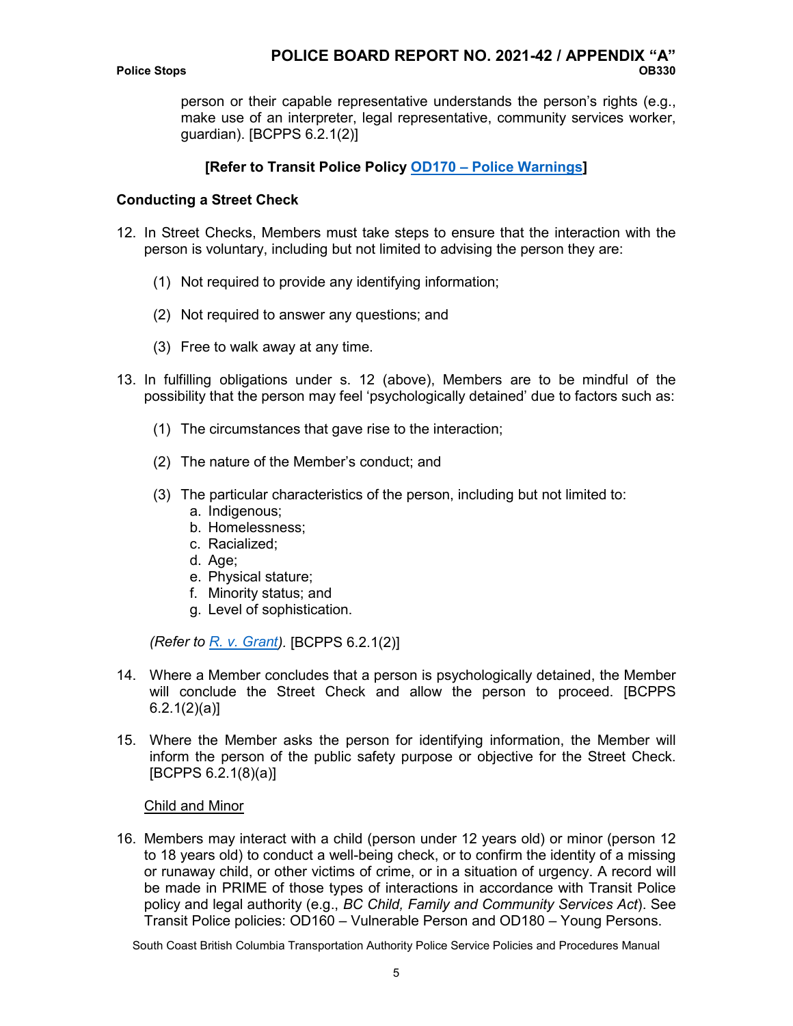person or their capable representative understands the person's rights (e.g., make use of an interpreter, legal representative, community services worker, guardian). [BCPPS 6.2.1(2)]

# **[Refer to Transit Police Policy OD170 – [Police Warnings\]](http://owl01/otcs/cs.exe?func=ll&objId=303071&objAction=download&viewType=1)**

## **Conducting a Street Check**

- 12. In Street Checks, Members must take steps to ensure that the interaction with the person is voluntary, including but not limited to advising the person they are:
	- (1) Not required to provide any identifying information;
	- (2) Not required to answer any questions; and
	- (3) Free to walk away at any time.
- 13. In fulfilling obligations under s. 12 (above), Members are to be mindful of the possibility that the person may feel 'psychologically detained' due to factors such as:
	- (1) The circumstances that gave rise to the interaction;
	- (2) The nature of the Member's conduct; and
	- (3) The particular characteristics of the person, including but not limited to:
		- a. Indigenous;
		- b. Homelessness;
		- c. Racialized;
		- d. Age;
		- e. Physical stature;
		- f. Minority status; and
		- g. Level of sophistication.

*(Refer to [R. v. Grant\)](http://owl01/otcs/cs.exe?func=ll&objId=1934927&objAction=download&viewType=1).* [BCPPS 6.2.1(2)]

- 14. Where a Member concludes that a person is psychologically detained, the Member will conclude the Street Check and allow the person to proceed. [BCPPS  $6.2.1(2)(a)$
- 15. Where the Member asks the person for identifying information, the Member will inform the person of the public safety purpose or objective for the Street Check. [BCPPS 6.2.1(8)(a)]

#### Child and Minor

16. Members may interact with a child (person under 12 years old) or minor (person 12 to 18 years old) to conduct a well-being check, or to confirm the identity of a missing or runaway child, or other victims of crime, or in a situation of urgency. A record will be made in PRIME of those types of interactions in accordance with Transit Police policy and legal authority (e.g., *BC Child, Family and Community Services Act*). See Transit Police policies: OD160 – Vulnerable Person and OD180 – Young Persons.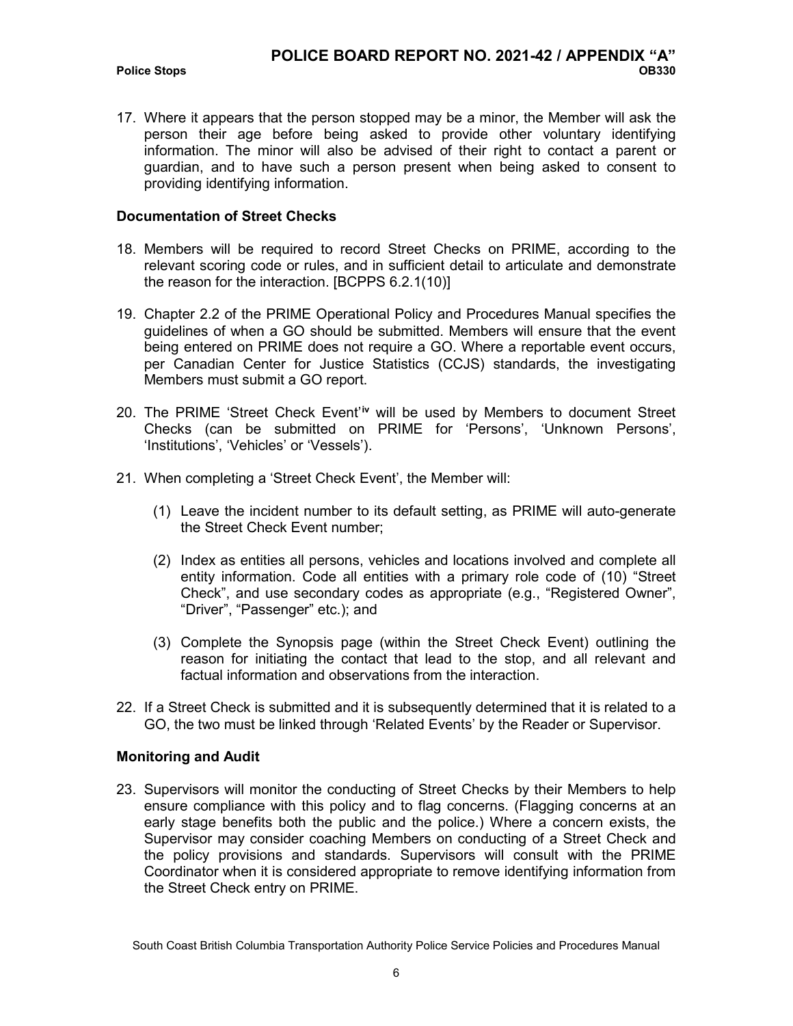**Police Stops** 

17. Where it appears that the person stopped may be a minor, the Member will ask the person their age before being asked to provide other voluntary identifying information. The minor will also be advised of their right to contact a parent or guardian, and to have such a person present when being asked to consent to providing identifying information.

## **Documentation of Street Checks**

- 18. Members will be required to record Street Checks on PRIME, according to the relevant scoring code or rules, and in sufficient detail to articulate and demonstrate the reason for the interaction. [BCPPS 6.2.1(10)]
- 19. Chapter 2.2 of the PRIME Operational Policy and Procedures Manual specifies the guidelines of when a GO should be submitted. Members will ensure that the event being entered on PRIME does not require a GO. Where a reportable event occurs, per Canadian Center for Justice Statistics (CCJS) standards, the investigating Members must submit a GO report.
- 20. The PRIME 'Street Check Event'<sup>[iv](#page-12-3)</sup> will be used by Members to document Street Checks (can be submitted on PRIME for 'Persons', 'Unknown Persons', 'Institutions', 'Vehicles' or 'Vessels').
- 21. When completing a 'Street Check Event', the Member will:
	- (1) Leave the incident number to its default setting, as PRIME will auto-generate the Street Check Event number;
	- (2) Index as entities all persons, vehicles and locations involved and complete all entity information. Code all entities with a primary role code of (10) "Street Check", and use secondary codes as appropriate (e.g., "Registered Owner", "Driver", "Passenger" etc.); and
	- (3) Complete the Synopsis page (within the Street Check Event) outlining the reason for initiating the contact that lead to the stop, and all relevant and factual information and observations from the interaction.
- 22. If a Street Check is submitted and it is subsequently determined that it is related to a GO, the two must be linked through 'Related Events' by the Reader or Supervisor.

## **Monitoring and Audit**

<span id="page-12-3"></span><span id="page-12-2"></span><span id="page-12-1"></span><span id="page-12-0"></span>23. Supervisors will monitor the conducting of Street Checks by their Members to help ensure compliance with this policy and to flag concerns. (Flagging concerns at an early stage benefits both the public and the police.) Where a concern exists, the Supervisor may consider coaching Members on conducting of a Street Check and the policy provisions and standards. Supervisors will consult with the PRIME Coordinator when it is considered appropriate to remove identifying information from the Street Check entry on PRIME.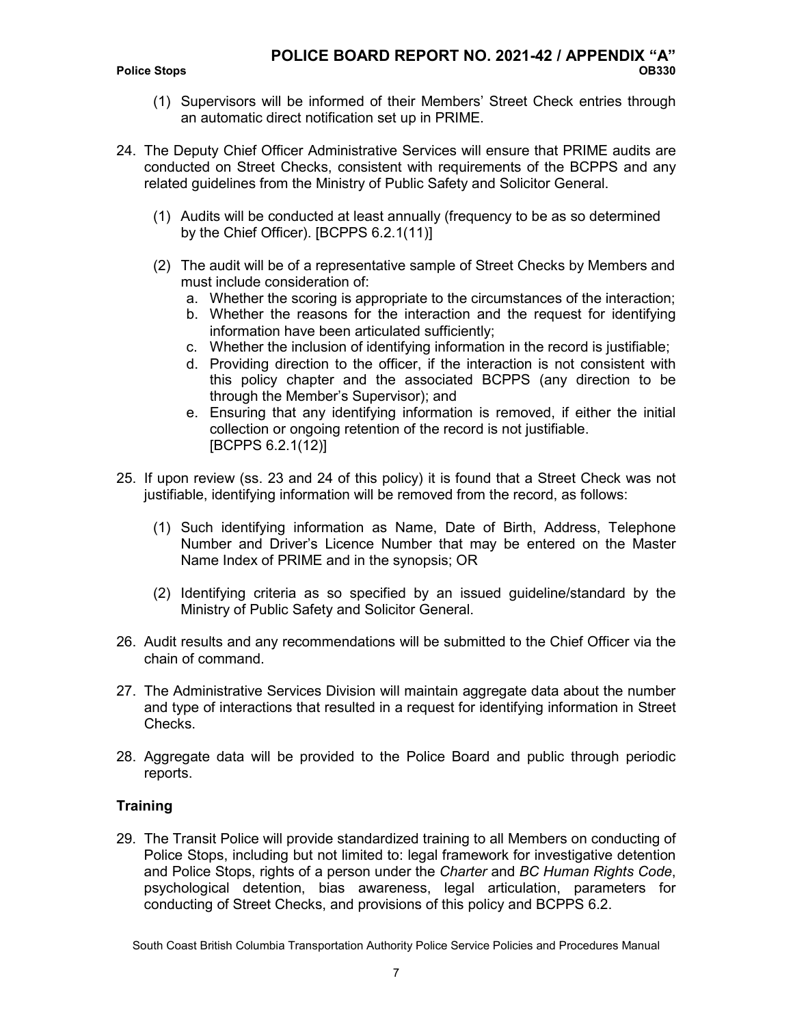- (1) Supervisors will be informed of their Members' Street Check entries through an automatic direct notification set up in PRIME.
- 24. The Deputy Chief Officer Administrative Services will ensure that PRIME audits are conducted on Street Checks, consistent with requirements of the BCPPS and any related guidelines from the Ministry of Public Safety and Solicitor General.
	- (1) Audits will be conducted at least annually (frequency to be as so determined by the Chief Officer). [BCPPS 6.2.1(11)]
	- (2) The audit will be of a representative sample of Street Checks by Members and must include consideration of:
		- a. Whether the scoring is appropriate to the circumstances of the interaction;
		- b. Whether the reasons for the interaction and the request for identifying information have been articulated sufficiently;
		- c. Whether the inclusion of identifying information in the record is justifiable;
		- d. Providing direction to the officer, if the interaction is not consistent with this policy chapter and the associated BCPPS (any direction to be through the Member's Supervisor); and
		- e. Ensuring that any identifying information is removed, if either the initial collection or ongoing retention of the record is not justifiable. [BCPPS 6.2.1(12)]
- 25. If upon review (ss. 23 and 24 of this policy) it is found that a Street Check was not justifiable, identifying information will be removed from the record, as follows:
	- (1) Such identifying information as Name, Date of Birth, Address, Telephone Number and Driver's Licence Number that may be entered on the Master Name Index of PRIME and in the synopsis; OR
	- (2) Identifying criteria as so specified by an issued guideline/standard by the Ministry of Public Safety and Solicitor General.
- 26. Audit results and any recommendations will be submitted to the Chief Officer via the chain of command.
- 27. The Administrative Services Division will maintain aggregate data about the number and type of interactions that resulted in a request for identifying information in Street Checks.
- 28. Aggregate data will be provided to the Police Board and public through periodic reports.

## **Training**

29. The Transit Police will provide standardized training to all Members on conducting of Police Stops, including but not limited to: legal framework for investigative detention and Police Stops, rights of a person under the *Charter* and *BC Human Rights Code*, psychological detention, bias awareness, legal articulation, parameters for conducting of Street Checks, and provisions of this policy and BCPPS 6.2.